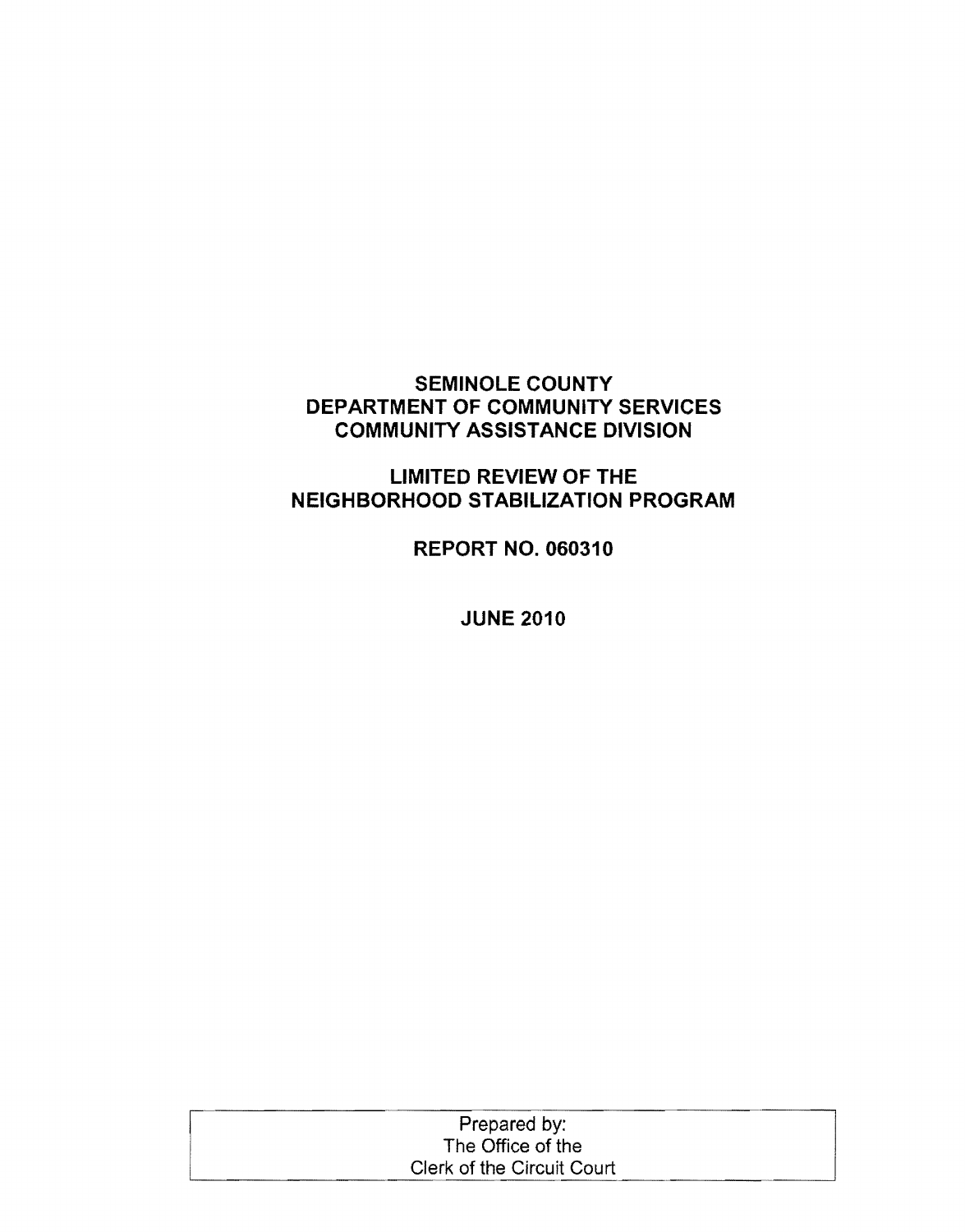## **SEMINOLE COUNTY DEPARTMENT OF COMMUNITY SERVICES COMMUNITY ASSISTANCE DIVISION**

# **LIMITED REVIEW OF THE NEIGHBORHOOD STABILIZATION PROGRAM**

**REPORT NO. 060310** 

**JUNE 2010** 

| Prepared by:               |  |
|----------------------------|--|
| The Office of the          |  |
| Clerk of the Circuit Court |  |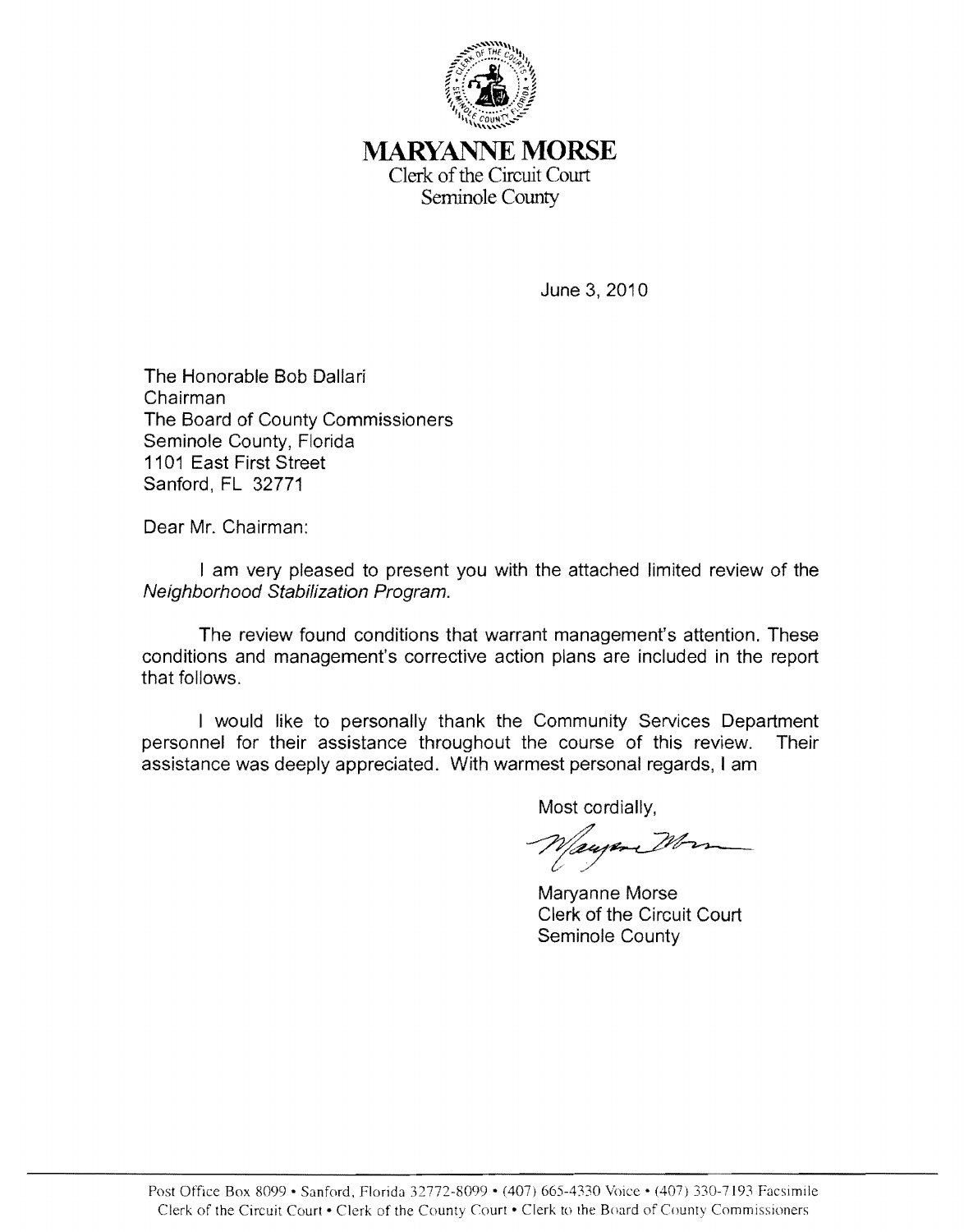

**MARYANNE MORSE**  Clerk of the Circuit Court Seminole County

June 3,2010

The Honorable Bob Dallari Chairman The Board of County Commissioners Seminole County, Florida 1101 East First Street Sanford, FL 32771

Dear Mr. Chairman:

I am very pleased to present you with the attached limited review of the Neighborhood Stabilization Program.

The review found conditions that warrant management's attention. These conditions and management's corrective action plans are included in the report that follows.

I would like to personally thank the Community Services Department personnel for their assistance throughout the course of this review. Their assistance was deeply appreciated. With warmest personal regards, I am

Most cordially,

Wayer Wor<br>Maryanne Morse

Clerk of the Circuit Court Seminole County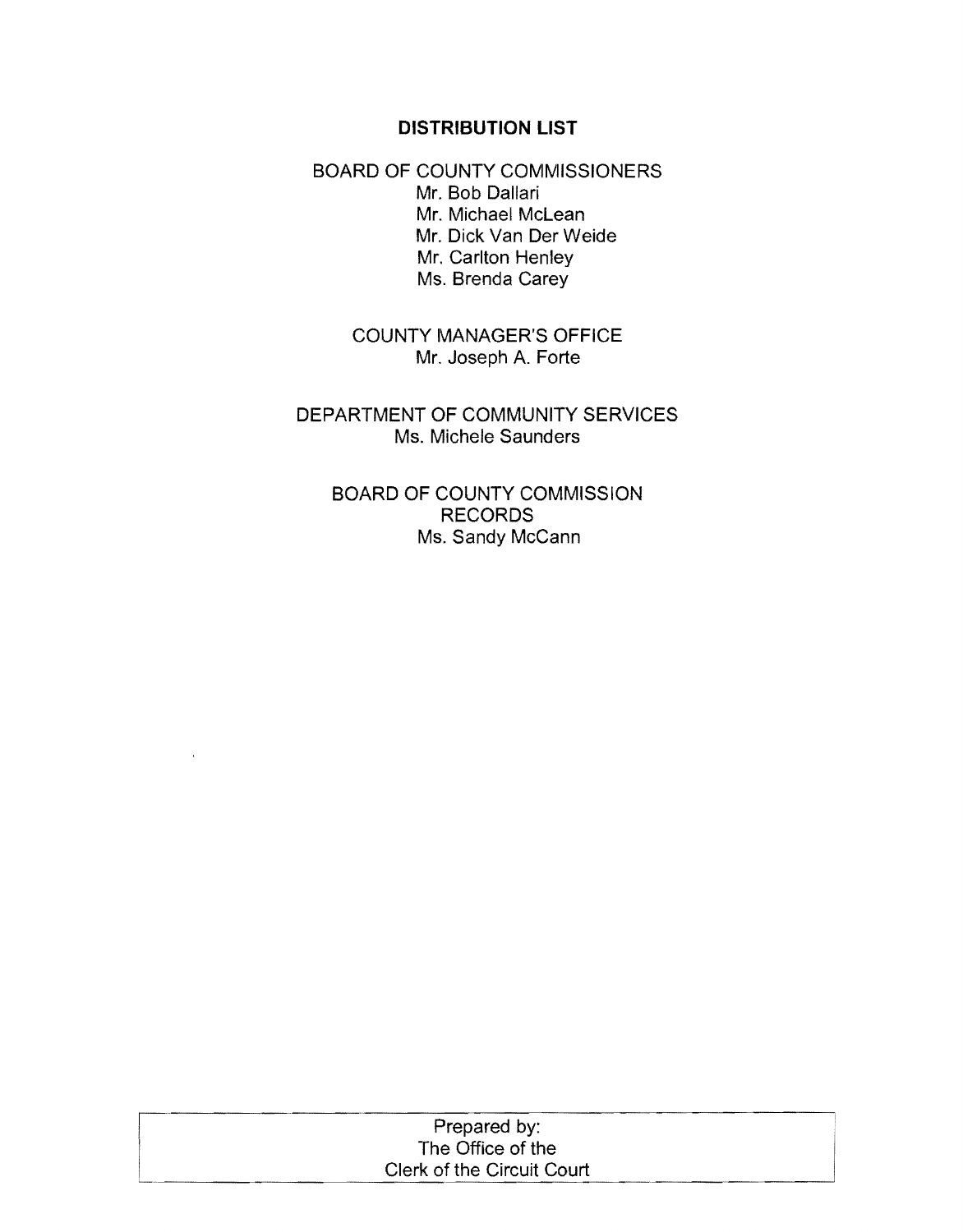#### **DISTRIBUTION LIST**

BOARD OF COUNTY COMMISSIONERS Mr. Bob Dallari Mr. Michael McLean Mr. Dick Van Der Weide Mr. Carlton Henley Ms. Brenda Carey

> COUNTY MANAGER'S OFFICE Mr. Joseph A. Forte

DEPARTMENT OF COMMUNITY SERVICES Ms. Michele Saunders

BOARD OF COUNTY COMMISSION RECORDS Ms. Sandy McCann

| Prepared by:               |
|----------------------------|
| The Office of the          |
| Clerk of the Circuit Court |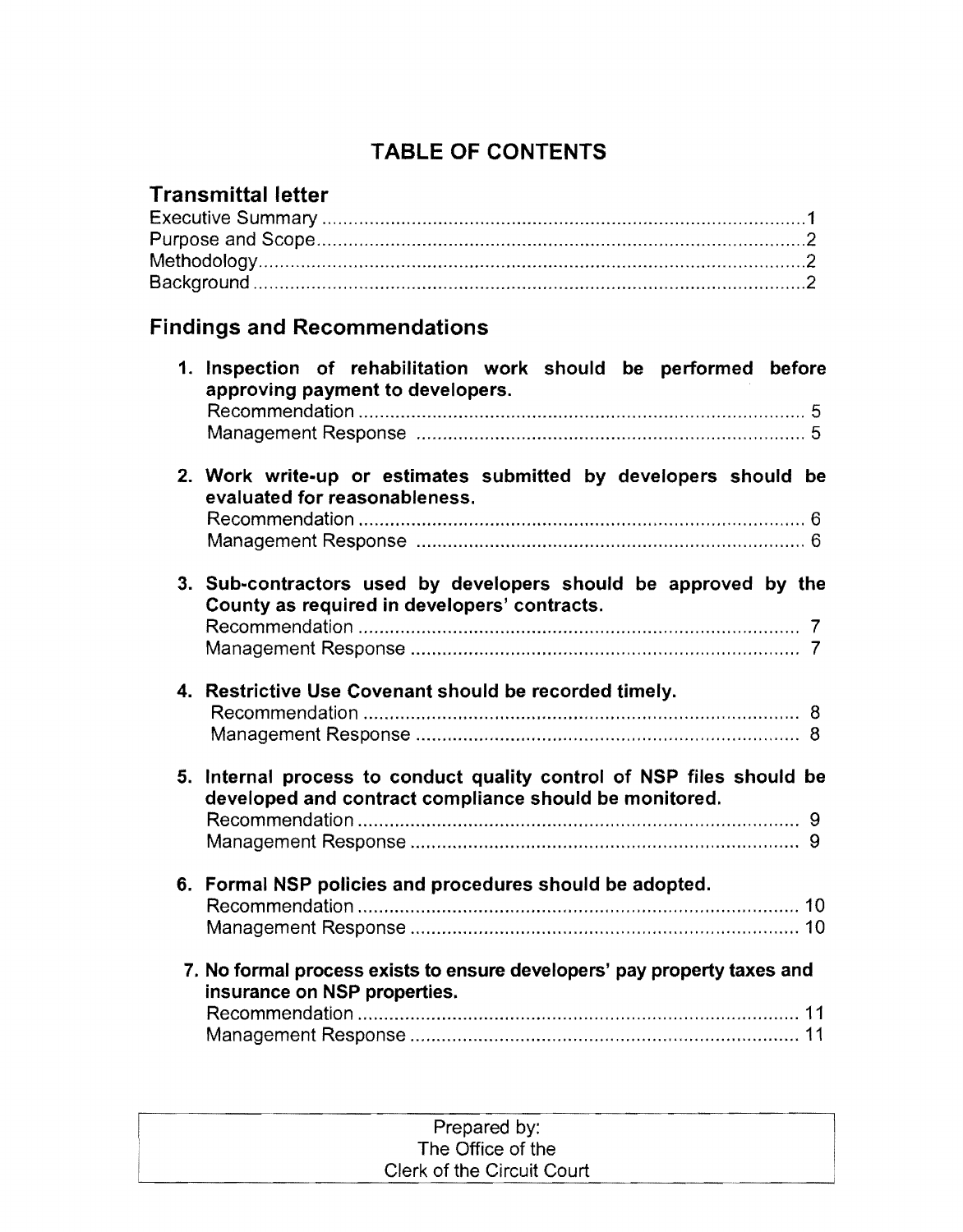# TABLE OF CONTENTS

# Transmittal letter

# Findings and Recommendations

|    | 1. Inspection of rehabilitation work should be performed before<br>approving payment to developers.                          |
|----|------------------------------------------------------------------------------------------------------------------------------|
|    |                                                                                                                              |
|    | 2. Work write-up or estimates submitted by developers should be<br>evaluated for reasonableness.                             |
|    | 3. Sub-contractors used by developers should be approved by the<br>County as required in developers' contracts.              |
|    | 4. Restrictive Use Covenant should be recorded timely.                                                                       |
| 5. | Internal process to conduct quality control of NSP files should be<br>developed and contract compliance should be monitored. |
|    |                                                                                                                              |
|    | 6. Formal NSP policies and procedures should be adopted.                                                                     |
|    | 7. No formal process exists to ensure developers' pay property taxes and<br>insurance on NSP properties.                     |
|    |                                                                                                                              |

| Prepared by:               |  |
|----------------------------|--|
| The Office of the          |  |
| Clerk of the Circuit Court |  |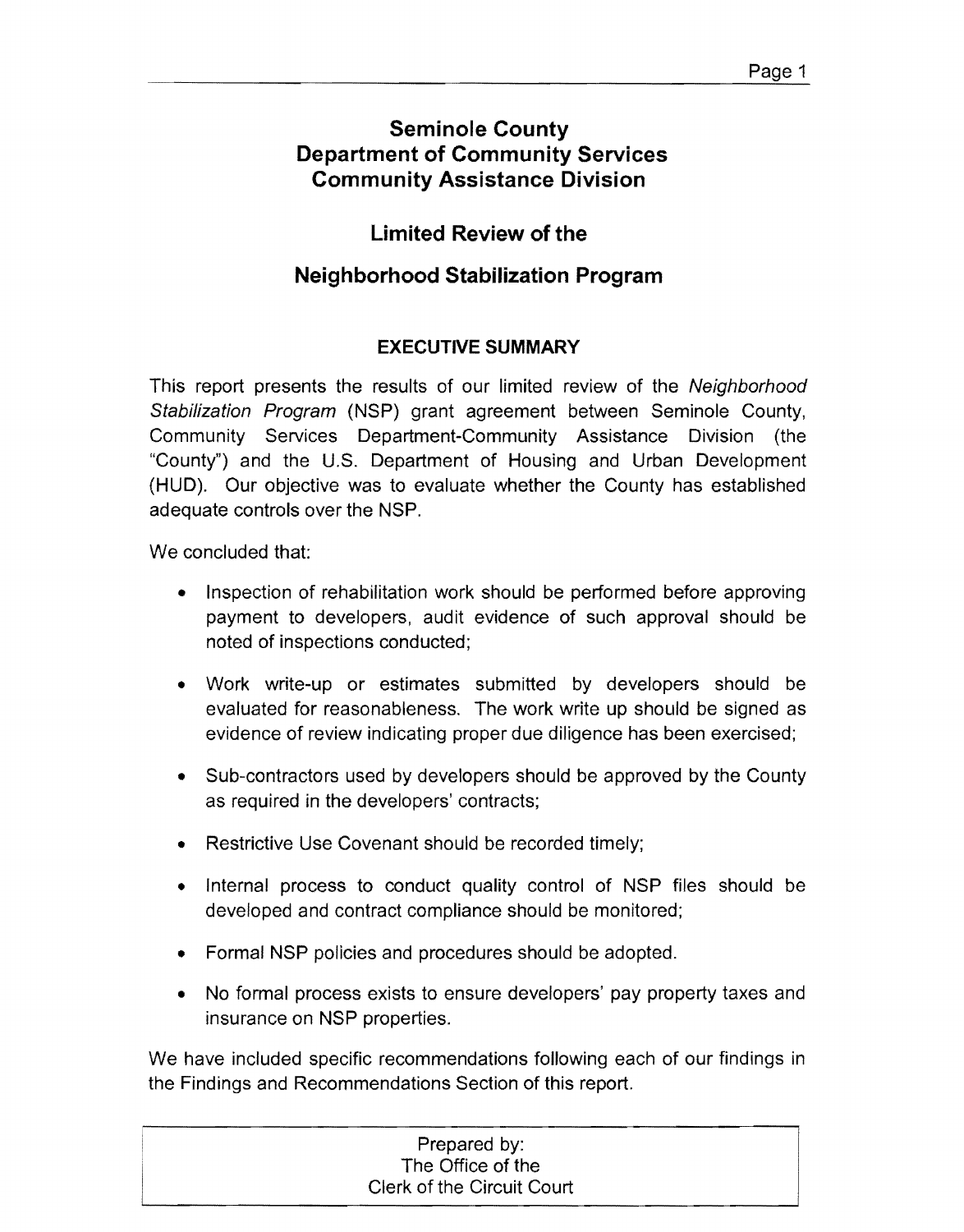# **Seminole County Department of Community Services Community Assistance Division**

# **Limited Review of the**

# **Neighborhood Stabilization Program**

# **EXECUTIVE SUMMARY**

This report presents the results of our limited review of the *Neighborhood* Stabilization Program (NSP) grant agreement between Seminole County, Community Services Department-Community Assistance Division (the "County") and the U.S. Department of Housing and Urban Development (HUD). Our objective was to evaluate whether the County has established adequate controls over the NSP.

We concluded that:

- Inspection of rehabilitation work should be performed before approving payment to developers, audit evidence of such approval should be noted of inspections conducted;
- Work write-up or estimates submitted by developers should be evaluated for reasonableness. The work write up should be signed as evidence of review indicating proper due diligence has been exercised;
- Sub-contractors used by developers should be approved by the County as required in the developers' contracts;
- Restrictive Use Covenant should be recorded timely;
- Internal process to conduct quality control of NSP files should be developed and contract compliance should be monitored;
- Formal NSP policies and procedures should be adopted.
- No formal process exists to ensure developers' pay property taxes and insurance on NSP properties.

We have included specific recommendations following each of our findings in the Findings and Recommendations Section of this report.

| Prepared by:               |  |
|----------------------------|--|
| The Office of the          |  |
| Clerk of the Circuit Court |  |
|                            |  |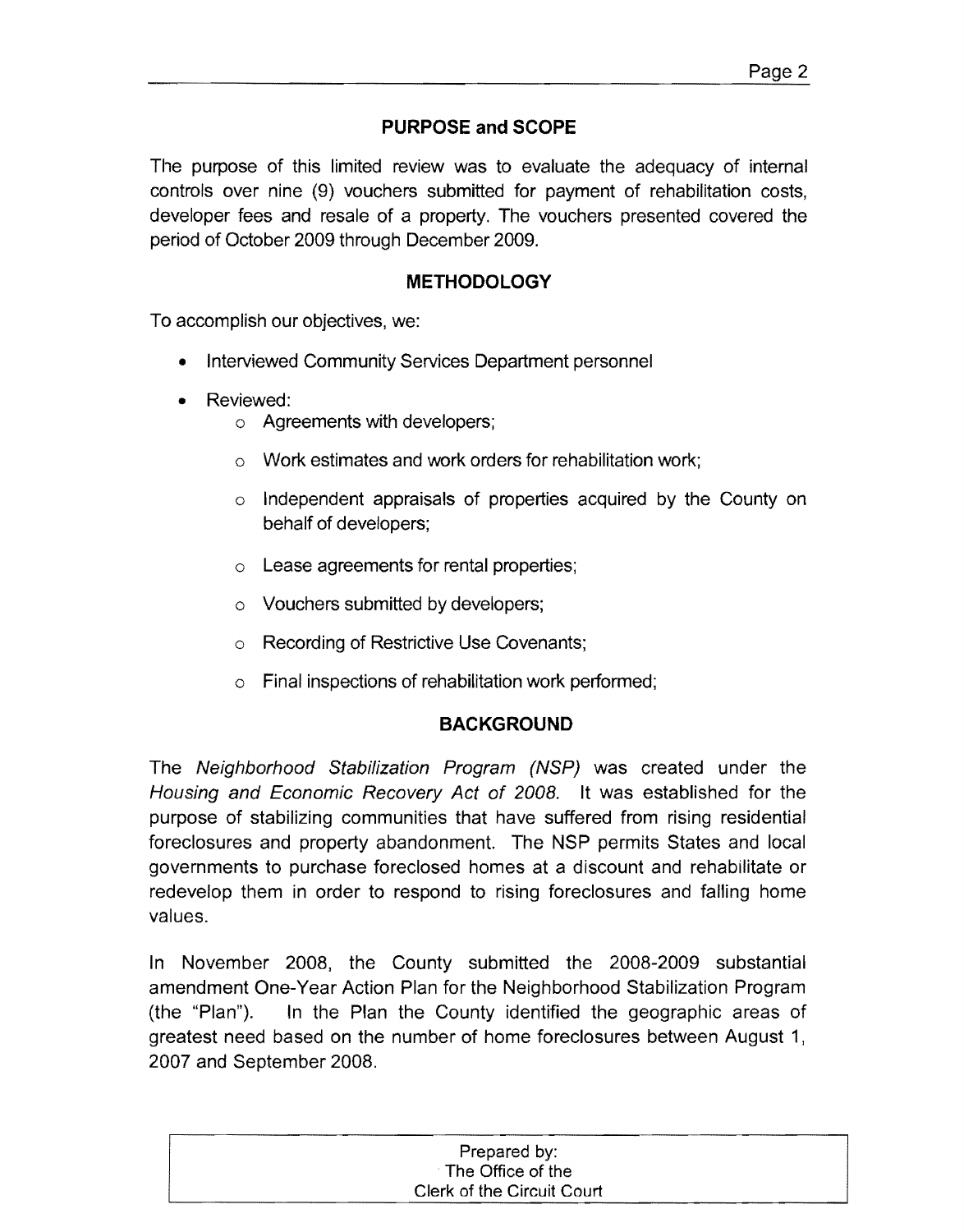# **PURPOSE and SCOPE**

The purpose of this limited review was to evaluate the adequacy of internal controls over nine (9) vouchers submitted for payment of rehabilitation costs, developer fees and resale of a property. The vouchers presented covered the period of October 2009 through December 2009.

### **METHODOLOGY**

To accomplish our objectives, we:

- Interviewed Community Services Department personnel
- Reviewed:
	- o Agreements with developers;
	- o Work estimates and work orders for rehabilitation work;
	- o Independent appraisals of properties acquired by the County on behalf of developers;
	- $\circ$  Lease agreements for rental properties;
	- o Vouchers submitted by developers;
	- o Recording of Restrictive Use Covenants;
	- $\circ$  Final inspections of rehabilitation work performed;

### **BACKGROUND**

The Neighborhood Stabilization Program (NSP) was created under the Housing and Economic Recovery Act of 2008. It was established for the purpose of stabilizing communities that have suffered from rising residential foreclosures and property abandonment. The NSP permits States and local governments to purchase foreclosed homes at a discount and rehabilitate or redevelop them in order to respond to rising foreclosures and falling home values.

In November 2008, the County submitted the 2008-2009 substantial amendment One-Year Action Plan for the Neighborhood Stabilization Program (the "Plan"). In the Plan the County identified the geographic areas of greatest need based on the number of home foreclosures between August 1, 2007 and September 2008.

| Prepared by:               |
|----------------------------|
| The Office of the          |
| Clerk of the Circuit Court |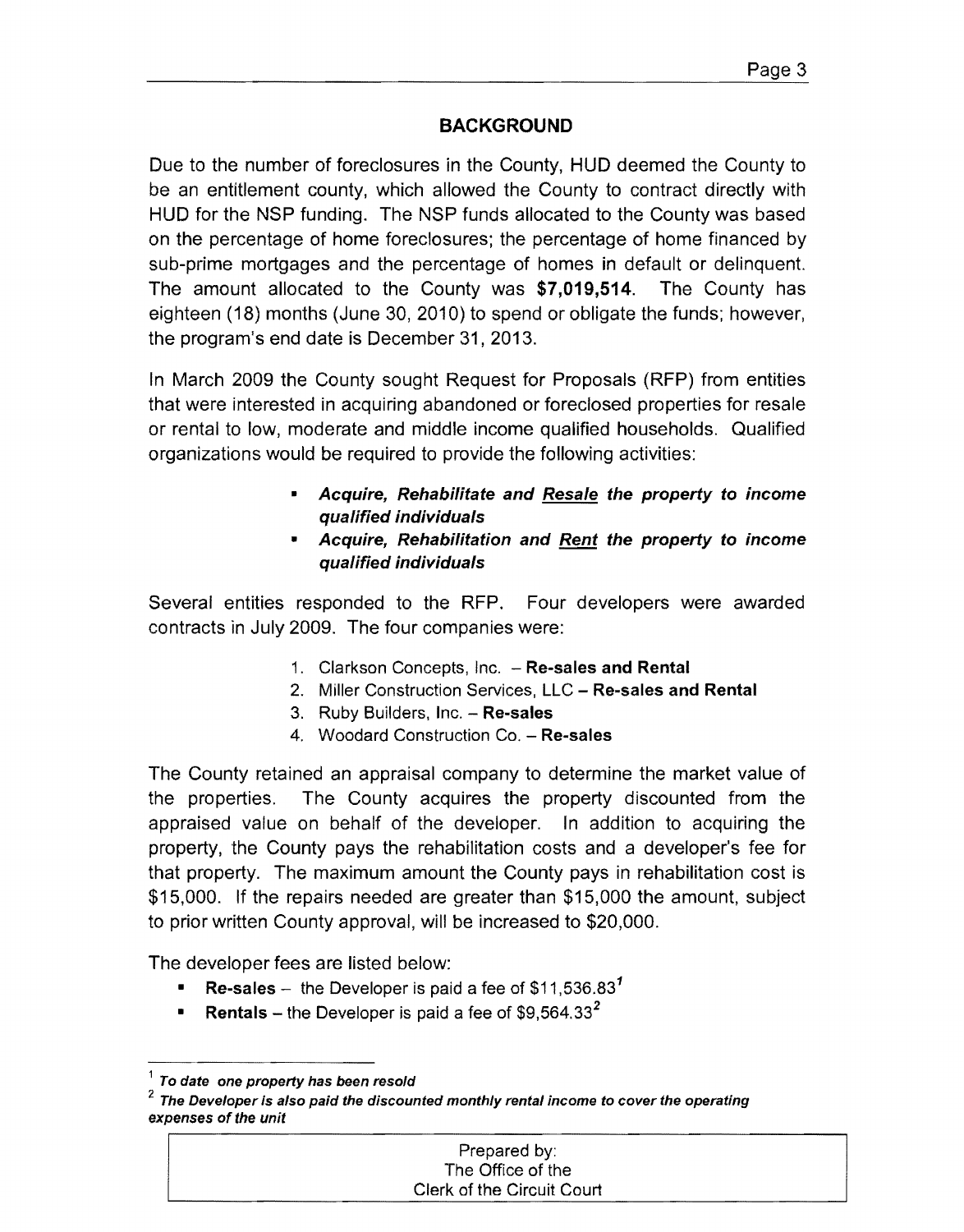# **BACKGROUND**

Due to the number of foreclosures in the County, HUD deemed the County to be an entitlement county, which allowed the County to contract directly with HUD for the NSP funding. The NSP funds allocated to the County was based on the percentage of home foreclosures; the percentage of home financed by sub-prime mortgages and the percentage of homes in default or delinquent. The amount allocated to the County was \$7,019,514. The County has eighteen (18) months (June 30, 2010) to spend or obligate the funds; however, the program's end date is December 31, 2013.

In March 2009 the County sought Request for Proposals (RFP) from entities that were interested in acquiring abandoned or foreclosed properties for resale or rental to low, moderate and middle income qualified households. Qualified organizations would be required to provide the following activities:

- Acquire, Rehabilitate and Resale the property to income qualified individuals
- Acquire, Rehabilitation and Rent the property to income qualified individuals

Several entities responded to the RFP. Four developers were awarded contracts in July 2009. The four companies were:

- 1. Clarkson Concepts, Inc. Re-sales and Rental
- 2. Miller Construction Services, LLC Re-sales and Rental
- 3. Ruby Builders, Inc. Re-sales
- 4. Woodard Construction Co. Re-sales

The County retained an appraisal company to determine the market value of the properties. The County acquires the property discounted from the appraised value on behalf of the developer. In addition to acquiring the property, the County pays the rehabilitation costs and a developer's fee for that property. The maximum amount the County pays in rehabilitation cost is \$15,000. If the repairs needed are greater than \$15,000 the amount, subject to prior written County approval, will be increased to \$20,000.

The developer fees are listed below:

- **Re-sales** the Developer is paid a fee of  $$11,536.83<sup>1</sup>$
- **Rentals** the Developer is paid a fee of \$9,564.33<sup>2</sup>

*<sup>2</sup>* The Developer Is also paid the discounted monthly rental income to cover the operating expenses of the unit

| Prepared by:               |
|----------------------------|
| The Office of the          |
| Clerk of the Circuit Court |

 $<sup>1</sup>$  To date one property has been resold</sup>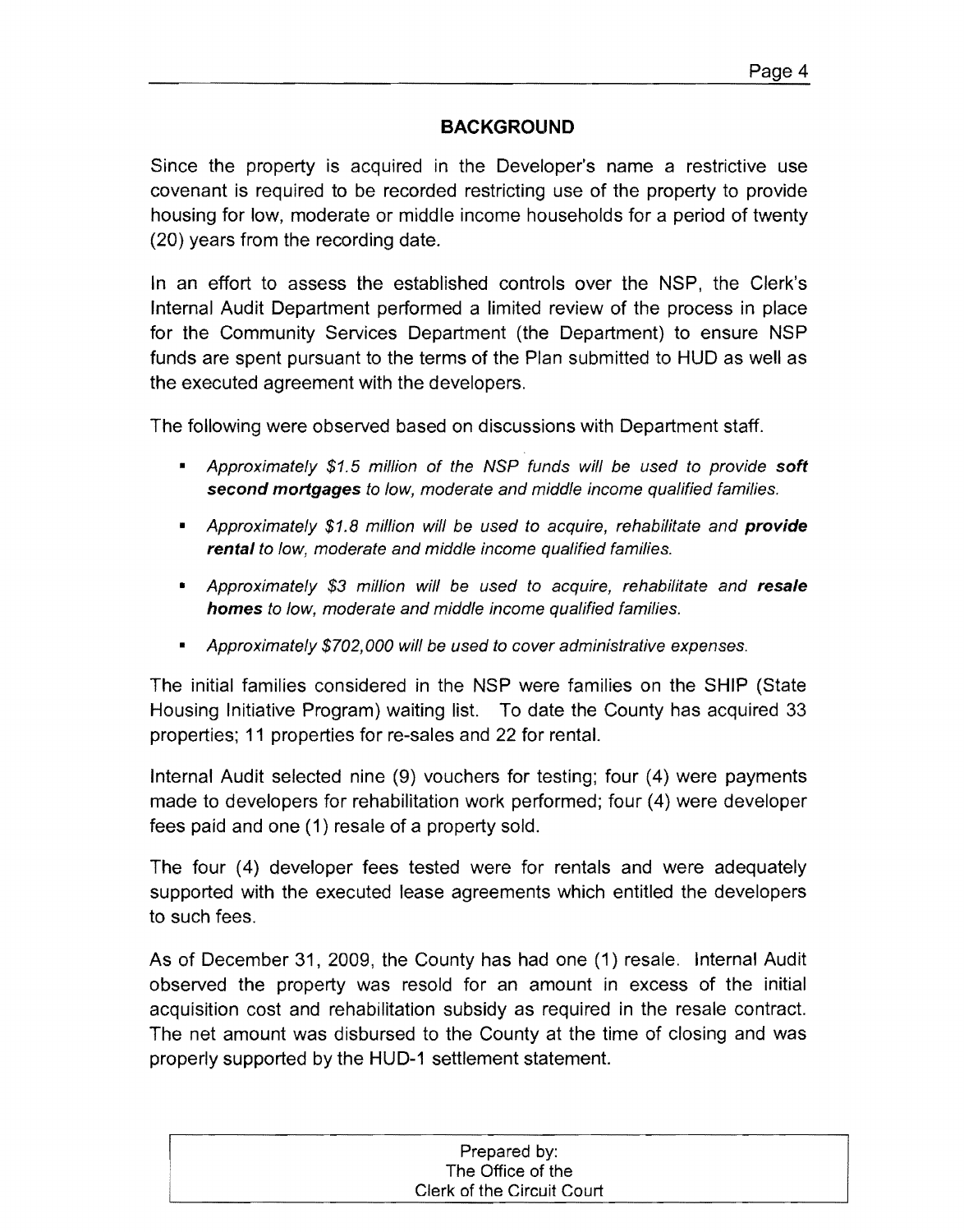## **BACKGROLIND**

Since the property is acquired in the Developer's name a restrictive use covenant is required to be recorded restricting use of the property to provide housing for low, moderate or middle income households for a period of twenty (20) years from the recording date.

In an effort to assess the established controls over the NSP, the Clerk's Internal Audit Department performed a limited review of the process in place for the Community Services Department (the Department) to ensure NSP funds are spent pursuant to the terms of the Plan submitted to HUD as well as the executed agreement with the developers.

The following were observed based on discussions with Department staff.

- Approximately \$1.5 million of the NSP funds will be used to provide soft second mortgages to low, moderate and middle income qualified families.
- Approximately \$1.8 million will be used to acquire, rehabilitate and **provide** rental to low, moderate and middle income qualified families.
- Approximately \$3 million will be used to acquire, rehabilitate and resale homes to low, moderate and middle income qualified families.
- Approximately \$702,000 will be used to cover administrative expenses.

The initial families considered in the NSP were families on the SHIP (State Housing Initiative Program) waiting list. To date the County has acquired 33 properties; 11 properties for re-sales and 22 for rental.

Internal Audit selected nine (9) vouchers for testing; four (4) were payments made to developers for rehabilitation work performed; four (4) were developer fees paid and one (1) resale of a property sold.

The four (4) developer fees tested were for rentals and were adequately supported with the executed lease agreements which entitled the developers to such fees.

As of December 31, 2009, the County has had one (1) resale. Internal Audit observed the property was resold for an amount in excess of the initial acquisition cost and rehabilitation subsidy as required in the resale contract. The net amount was disbursed to the County at the time of closing and was properly supported by the HUD-1 settlement statement.

| Prepared by:               |
|----------------------------|
| The Office of the          |
| Clerk of the Circuit Court |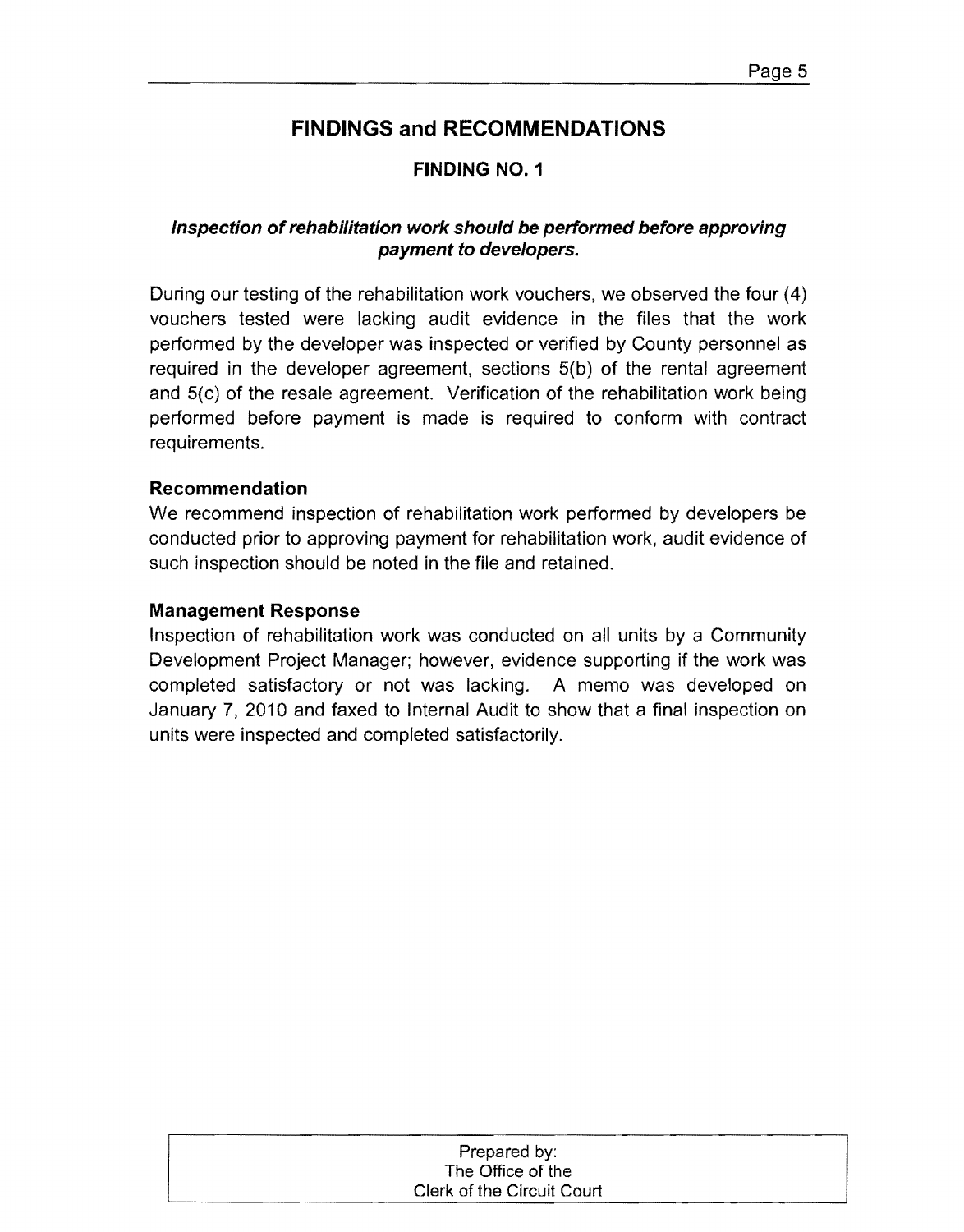### **FINDING NO.1**

### **Inspection ofrehabilitation work should be performed before approving payment to developers.**

During our testing of the rehabilitation work vouchers, we observed the four (4) vouchers tested were lacking audit evidence in the files that the work performed by the developer was inspected or verified by County personnel as required in the developer agreement, sections 5(b) of the rental agreement and 5(c) of the resale agreement. Verification of the rehabilitation work being performed before payment is made is required to conform with contract requirements.

#### **Recommendation**

We recommend inspection of rehabilitation work performed by developers be conducted prior to approving payment for rehabilitation work, audit evidence of such inspection should be noted in the file and retained.

#### **Management Response**

Inspection of rehabilitation work was conducted on all units by a Community Development Project Manager; however, evidence supporting if the work was completed satisfactory or not was lacking. A memo was developed on January 7, 2010 and faxed to Internal Audit to show that a final inspection on units were inspected and completed satisfactorily.

| Prepared by:               |
|----------------------------|
| The Office of the          |
| Clerk of the Circuit Court |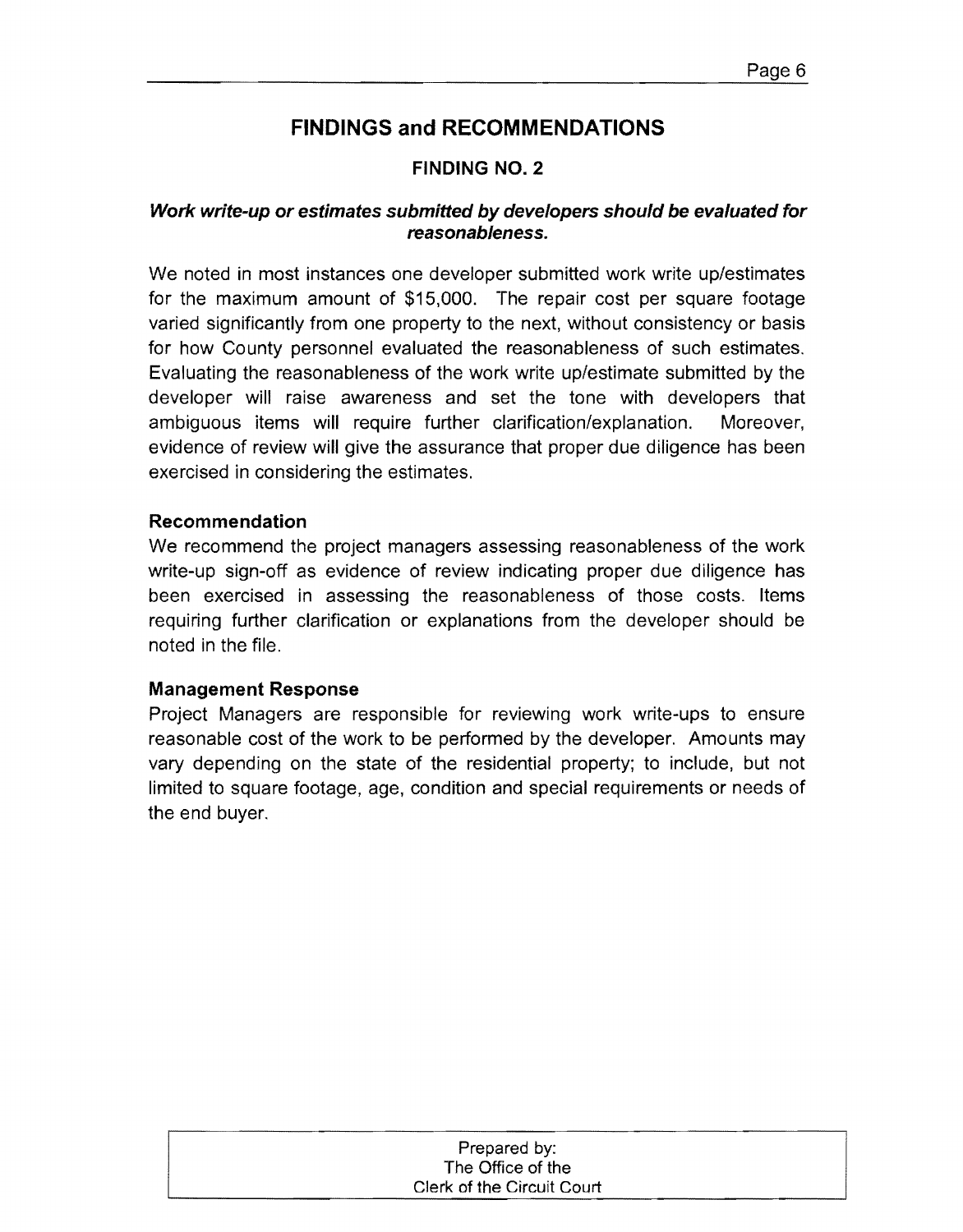### **FINDING NO.2**

#### **Work write-up or estimates submitted by developers should be evaluated for reasonableness.**

We noted in most instances one developer submitted work write up/estimates for the maximum amount of \$15,000. The repair cost per square footage varied significantly from one property to the next, without consistency or basis for how County personnel evaluated the reasonableness of such estimates. Evaluating the reasonableness of the work write up/estimate submitted by the developer will raise awareness and set the tone with developers that ambiguous items will require further clarification/explanation. Moreover, evidence of review will give the assurance that proper due diligence has been exercised in considering the estimates.

#### **Recommendation**

We recommend the project managers assessing reasonableness of the work write-up sign-off as evidence of review indicating proper due diligence has been exercised in assessing the reasonableness of those costs. Items requiring further clarification or explanations from the developer should be noted in the file.

#### **Management Response**

Project Managers are responsible for reviewing work write-ups to ensure reasonable cost of the work to be performed by the developer. Amounts may vary depending on the state of the residential property; to include, but not limited to square footage, age, condition and special requirements or needs of the end buyer.

| Prepared by:               |  |
|----------------------------|--|
| The Office of the          |  |
| Clerk of the Circuit Court |  |
|                            |  |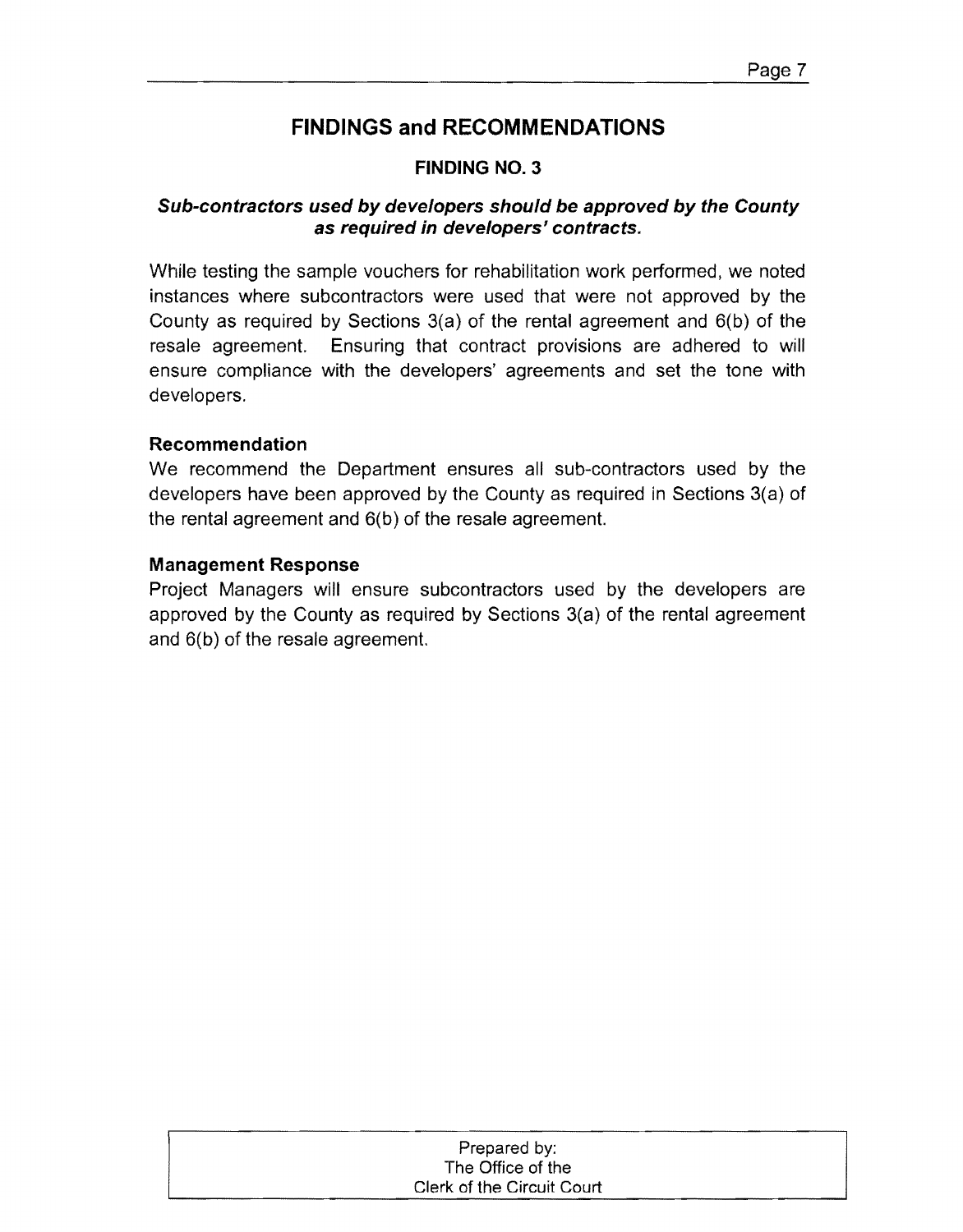### **FINDING NO.3**

### **Sub-contractors used by developers should be approved by the County as required in developers' contracts.**

While testing the sample vouchers for rehabilitation work performed, we noted instances where subcontractors were used that were not approved by the County as required by Sections 3(a) of the rental agreement and 6(b) of the resale agreement. Ensuring that contract provisions are adhered to will ensure compliance with the developers' agreements and set the tone with developers.

#### **Recommendation**

We recommend the Department ensures all sub-contractors used by the developers have been approved by the County as required in Sections 3(a) of the rental agreement and 6(b) of the resale agreement.

#### **Management Response**

Project Managers will ensure subcontractors used by the developers are approved by the County as required by Sections 3(a) of the rental agreement and 6(b) of the resale agreement.

| Prepared by:               |  |
|----------------------------|--|
| The Office of the          |  |
| Clerk of the Circuit Court |  |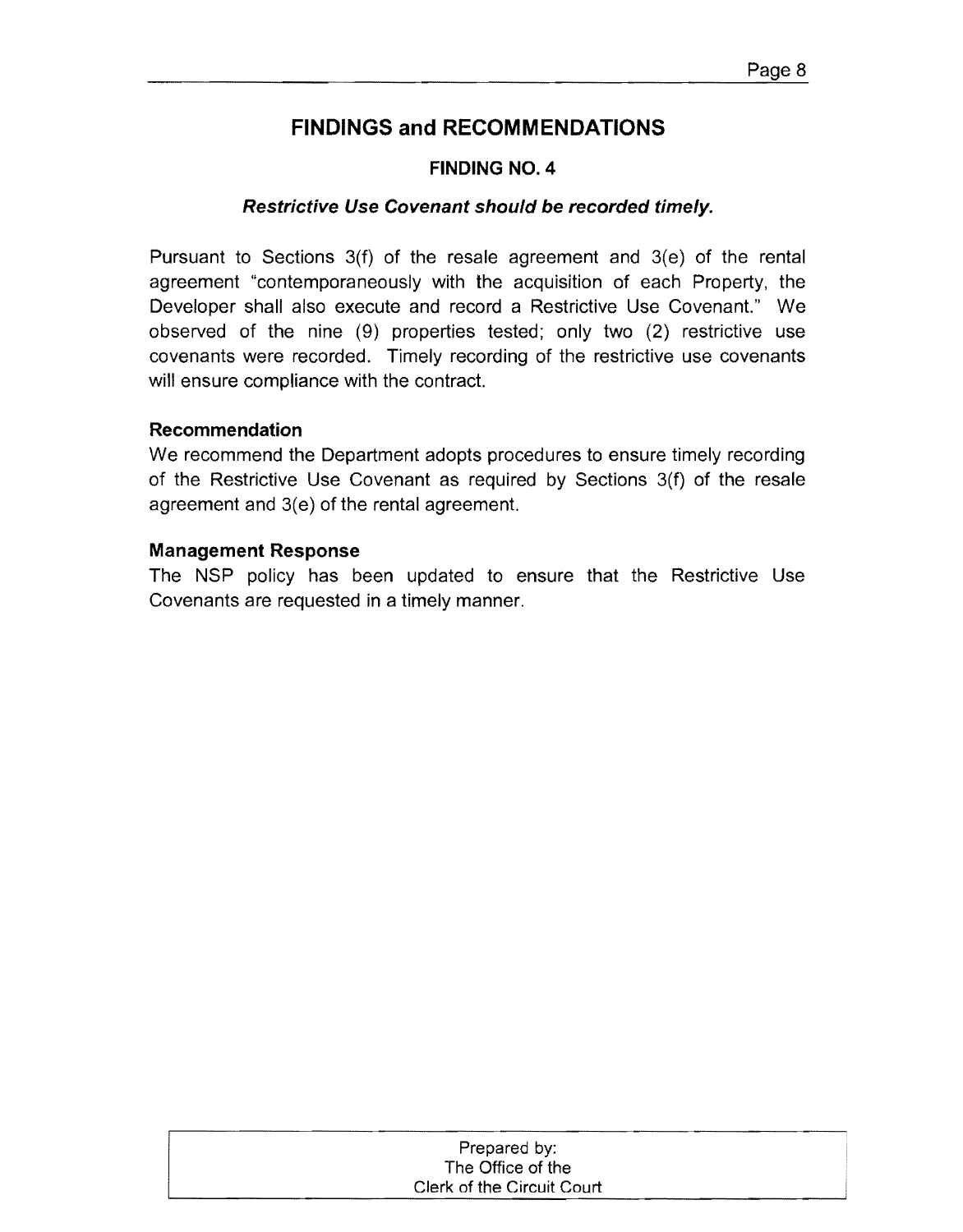### **FINDING NO.4**

#### **Restrictive Use Covenant should be recorded timely.**

Pursuant to Sections 3(f) of the resale agreement and 3(e) of the rental agreement "contemporaneously with the acquisition of each Property, the Developer shall also execute and record a Restrictive Use Covenant." We observed of the nine (9) properties tested; only two (2) restrictive use covenants were recorded. Timely recording of the restrictive use covenants will ensure compliance with the contract.

#### **Recommendation**

We recommend the Department adopts procedures to ensure timely recording of the Restrictive Use Covenant as required by Sections 3(f) of the resale agreement and 3(e) of the rental agreement.

#### **Management Response**

The NSP policy has been updated to ensure that the Restrictive Use Covenants are requested in a timely manner.

| Prepared by:               |
|----------------------------|
| The Office of the          |
| Clerk of the Circuit Court |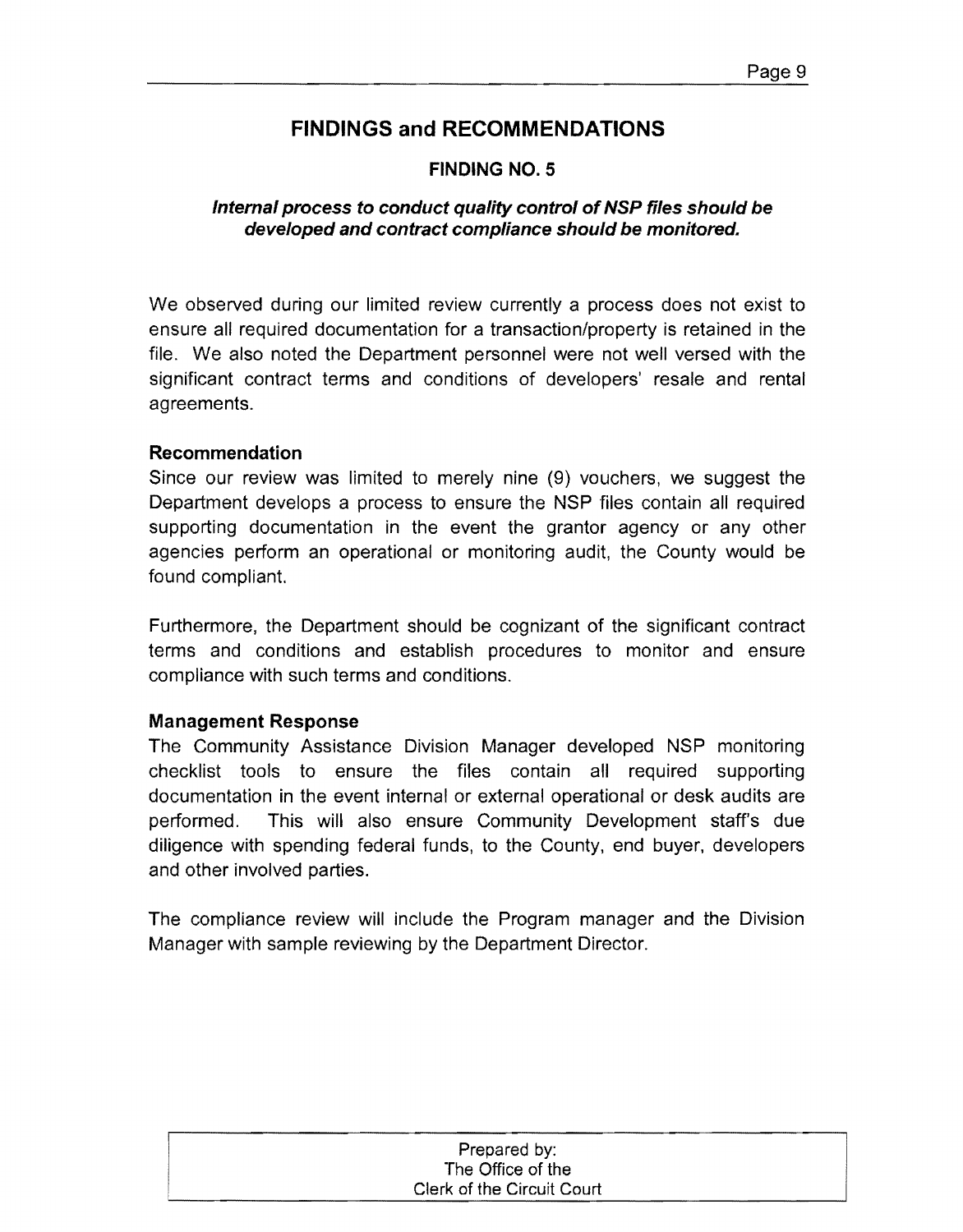### **FINDING NO.5**

### **Internal process to conduct quality control of NSP files should be developed and contract compliance should be monitored.**

We observed during our limited review currently a process does not exist to ensure all required documentation for a transaction/property is retained in the file. We also noted the Department personnel were not well versed with the significant contract terms and conditions of developers' resale and rental agreements.

#### **Recommendation**

Since our review was limited to merely nine (9) vouchers, we suggest the Department develops a process to ensure the NSP files contain all required supporting documentation in the event the grantor agency or any other agencies perform an operational or monitoring audit, the County would be found compliant.

Furthermore, the Department should be cognizant of the significant contract terms and conditions and establish procedures to monitor and ensure compliance with such terms and conditions.

#### **Management Response**

The Community Assistance Division Manager developed NSP monitoring checklist tools to ensure the files contain all required supporting documentation in the event internal or external operational or desk audits are performed. This will also ensure Community Development staff's due diligence with spending federal funds, to the County, end buyer, developers and other involved parties.

The compliance review will include the Program manager and the Division Manager with sample reviewing by the Department Director.

| Prepared by:               |  |
|----------------------------|--|
| The Office of the          |  |
| Clerk of the Circuit Court |  |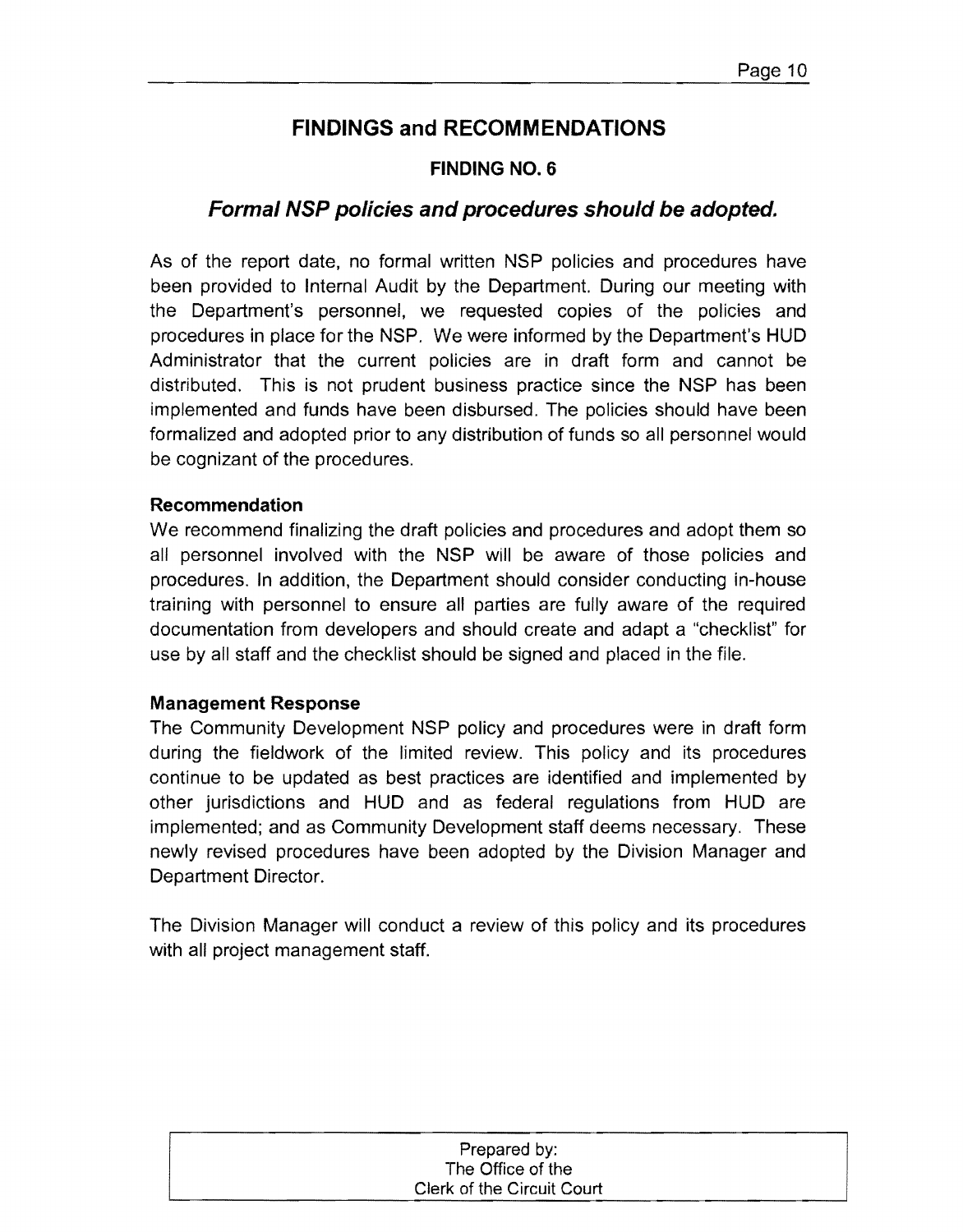### **FINDING NO.6**

# **Formal NSP policies and procedures should be adopted.**

As of the report date, no formal written NSP policies and procedures have been provided to Internal Audit by the Department. During our meeting with the Department's personnel, we requested copies of the policies and procedures in place for the NSP. We were informed by the Department's **HUD**  Administrator that the current policies are in draft form and cannot be distributed. This is not prudent business practice since the NSP has been implemented and funds have been disbursed. The policies should have been formalized and adopted prior to any distribution of funds so all personnel would be cognizant of the procedures.

#### **Recommendation**

We recommend finalizing the draft policies and procedures and adopt them so all personnel involved with the NSP will be aware of those policies and procedures. In addition, the Department should consider conducting in-house training with personnel to ensure all parties are fully aware of the required documentation from developers and should create and adapt a "checklist" for use by all staff and the checklist should be Signed and placed in the file.

#### **Management Response**

The Community Development NSP policy and procedures were in draft form during the fieldwork of the limited review. This policy and its procedures continue to be updated as best practices are identified and implemented by other jurisdictions and **HUD** and as federal regulations from **HUD** are implemented; and as Community Development staff deems necessary. These newly revised procedures have been adopted by the Division Manager and Department Director.

The Division Manager will conduct a review of this policy and its procedures with all project management staff.

| Prepared by:               |
|----------------------------|
| The Office of the          |
| Clerk of the Circuit Court |